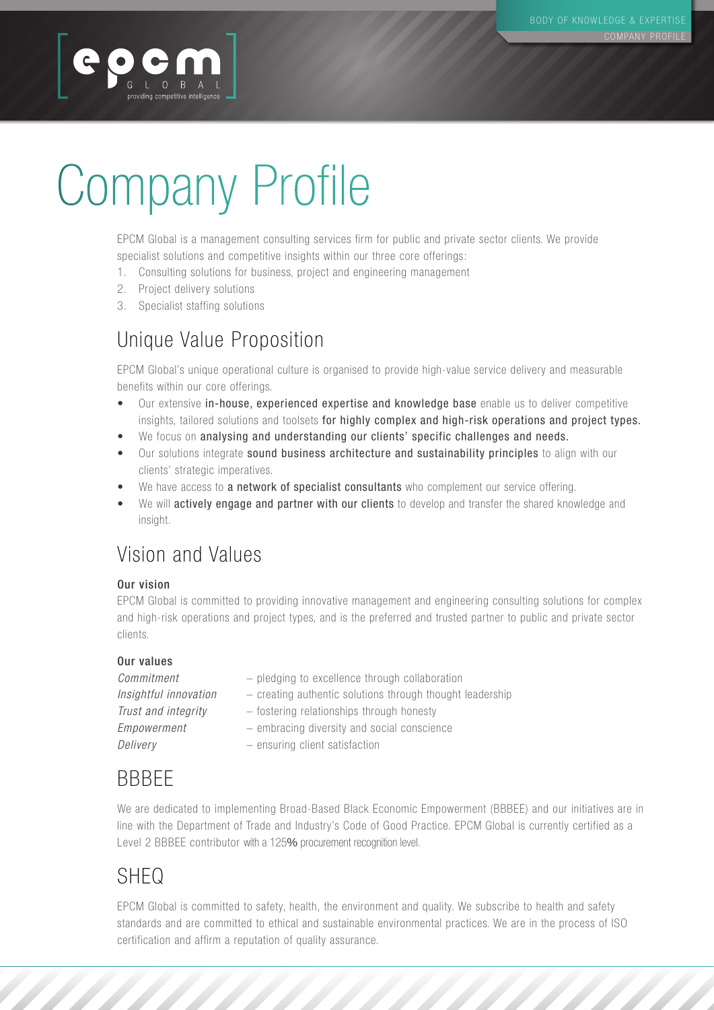# Company Profile

EPCM Global is a management consulting services firm for public and private sector clients. We provide specialist solutions and competitive insights within our three core offerings:

- 1. Consulting solutions for business, project and engineering management
- 2. Project delivery solutions

GLOBAL | providing competitive intelligence

providing competitive intelligence

3. Specialist staffing solutions

### Unique Value Proposition

EPCM Global's unique operational culture is organised to provide high-value service delivery and measurable benefits within our core offerings.

- Our extensive in-house, experienced expertise and knowledge base enable us to deliver competitive insights, tailored solutions and toolsets for highly complex and high-risk operations and project types.
- We focus on analysing and understanding our clients' specific challenges and needs.
- Our solutions integrate sound business architecture and sustainability principles to align with our clients' strategic imperatives.
- We have access to a network of specialist consultants who complement our service offering.
- We will actively engage and partner with our clients to develop and transfer the shared knowledge and insight.

### Vision and Values

#### Our vision

EPCM Global is committed to providing innovative management and engineering consulting solutions for complex and high-risk operations and project types, and is the preferred and trusted partner to public and private sector clients.

#### Our values

| Commitment            | - pledging to excellence through collaboration            |
|-----------------------|-----------------------------------------------------------|
| Insightful innovation | - creating authentic solutions through thought leadership |
| Trust and integrity   | - fostering relationships through honesty                 |
| Empowerment           | - embracing diversity and social conscience               |
| Delivery              | - ensuring client satisfaction                            |

## **BBBFF**

We are dedicated to implementing Broad-Based Black Economic Empowerment (BBBEE) and our initiatives are in line with the Department of Trade and Industry's Code of Good Practice. EPCM Global is currently certified as a Level 2 BBBEE contributor with a 125% procurement recognition level.

## SHEQ SHEO SHEO

EPCM Global is committed to safety, health, the environment and quality. We subscribe to health and safety standards and are committed to ethical and sustainable environmental practices. We are in the process of ISO standards and are committed to ethical and sustainable environmental practices. We are in the process of lSO certification and affirm a reputation of quality assurance. certification and affirm <sup>a</sup> reputation of quality assurance.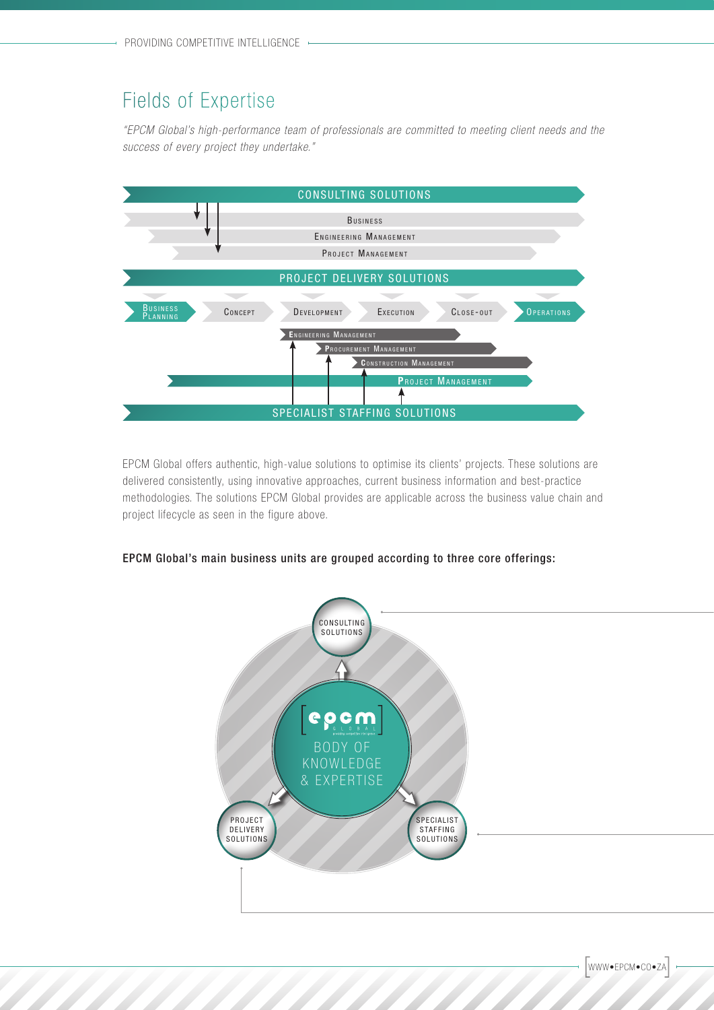#### Fields of Expertise Eields OI' Expertise

*"EPCM Global's high-performance team of professionals are committed to meeting client needs and the*  "EPCM G/oba/'s n/gn-performance team of profess/ona/s are comm/tted to meeting c/I'ent needs and the *success of every project they undertake."* success of every project they undertake."



EPCM Global offers authentic, high-value solutions to optimise its clients' projects. These solutions are EPCM Global otters authentic, high-value solutions to optimise its clients' projects. These solutions are delivered consistently, using innovative approaches, current business information and best-practice delivered consistently, using innovative approaches, current business information and best—practice methodologies. The solutions EPCM Global provides are applicable across the business value chain and methodologies. The solutions EPCM Global provides are applicable across the business value chain and project lifecycle as seen in the figure above. project litecycle as seen in the figure above.

#### EPCM Global's main business units are grouped according to three core offerings: EPCM Global's main business units are grouped according to three core Offerings:



WWW•EPCM•CO•ZA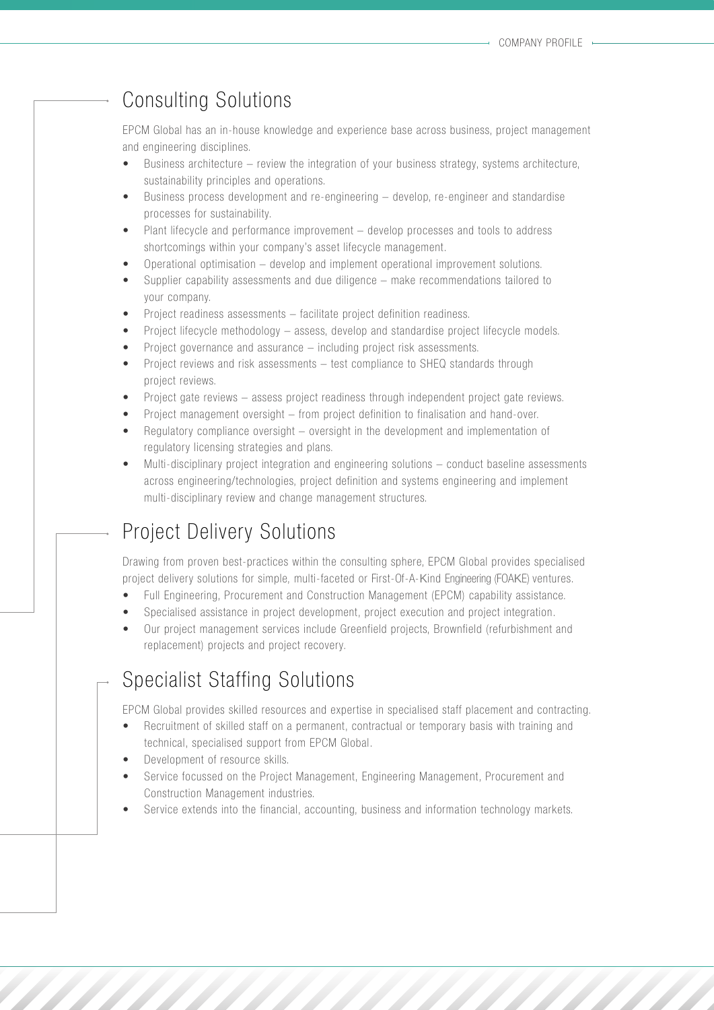#### Consulting Solutions

EPCM Global has an in-house knowledge and experience base across business, project management and engineering disciplines.

- Business architecture  $-$  review the integration of your business strategy, systems architecture, sustainability principles and operations.
- Business process development and re-engineering develop, re-engineer and standardise processes for sustainability.
- Plant lifecycle and performance improvement develop processes and tools to address shortcomings within your company's asset lifecycle management.
- Operational optimisation  $-$  develop and implement operational improvement solutions.
- Supplier capability assessments and due diligence make recommendations tailored to your company.
- Project readiness assessments facilitate project definition readiness.
- Project lifecycle methodology  $-$  assess, develop and standardise project lifecycle models.
- Project governance and assurance  $-$  including project risk assessments.
- Project reviews and risk assessments  $-$  test compliance to SHEQ standards through project reviews.
- Project gate reviews assess project readiness through independent project gate reviews.
- Project management oversight  $-$  from project definition to finalisation and hand-over.
- Regulatory compliance oversight oversight in the development and implementation of regulatory licensing strategies and plans.
- Multi-disciplinary project integration and engineering solutions conduct baseline assessments across engineering/technologies, project definition and systems engineering and implement multi-disciplinary review and change management structures.

#### Project Delivery Solutions

Drawing from proven best-practices within the consulting sphere, EPCM Global provides specialised project delivery solutions for simple, multi-faceted or First-Of-A-Kind Engineering (FOAKE) ventures.

- Full Engineering, Procurement and Construction Management (EPCM) capability assistance.
- Specialised assistance in project development, project execution and project integration.
- Our project management services include Greenfield projects, Brownfield (refurbishment and replacement) projects and project recovery.

#### Specialist Staffing Solutions

EPCM Global provides skilled resources and expertise in specialised staff placement and contracting.

- Recruitment of skilled staff on a permanent, contractual or temporary basis with training and technical, specialised support from EPCM Global.
- Development of resource skills.
- Service focussed on the Project Management, Engineering Management, Procurement and Construction Management industries.
- Service extends into the financial, accounting, business and information technology markets.